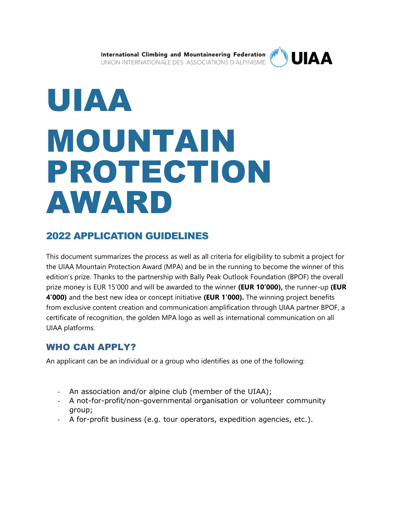International Climbing and Mountaineering Federation UNION INTERNATIONALE DES ASSOCIATIONS D'ALPINISME



# UIAA MOUNTAIN PROTECTION AWARD

# 2022 APPLICATION GUIDELINES

This document summarizes the process as well as all criteria for eligibility to submit a project for the UIAA Mountain Protection Award (MPA) and be in the running to become the winner of this edition's prize. Thanks to the partnership with Bally Peak Outlook Foundation (BPOF) the overall prize money is EUR 15'000 and will be awarded to the winner **(EUR 10'000),** the runner-up **(EUR 4'000)** and the best new idea or concept initiative **(EUR 1'000).** The winning project benefits from exclusive content creation and communication amplification through UIAA partner BPOF, a certificate of recognition, the golden MPA logo as well as international communication on all UIAA platforms.

## WHO CAN APPLY?

An applicant can be an individual or a group who identifies as one of the following:

- An association and/or alpine club (member of the UIAA);
- A not-for-profit/non-governmental organisation or volunteer community group;
- A for-profit business (e.g. tour operators, expedition agencies, etc.).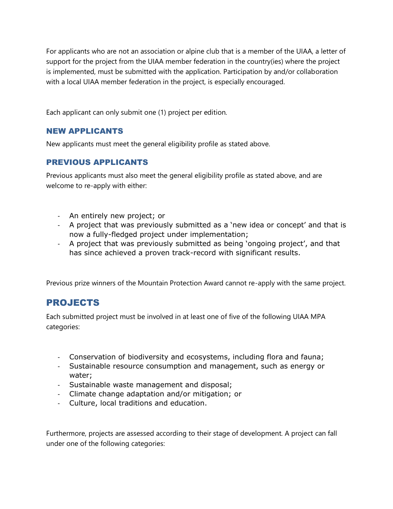For applicants who are not an association or alpine club that is a member of the UIAA, a letter of support for the project from the UIAA member federation in the country(ies) where the project is implemented, must be submitted with the application. Participation by and/or collaboration with a local UIAA member federation in the project, is especially encouraged.

Each applicant can only submit one (1) project per edition.

#### NEW APPLICANTS

New applicants must meet the general eligibility profile as stated above.

#### PREVIOUS APPLICANTS

Previous applicants must also meet the general eligibility profile as stated above, and are welcome to re-apply with either:

- An entirely new project; or
- A project that was previously submitted as a 'new idea or concept' and that is now a fully-fledged project under implementation;
- A project that was previously submitted as being 'ongoing project', and that has since achieved a proven track-record with significant results.

Previous prize winners of the Mountain Protection Award cannot re-apply with the same project.

## PROJECTS

Each submitted project must be involved in at least one of five of the following UIAA MPA categories:

- Conservation of biodiversity and ecosystems, including flora and fauna;
- Sustainable resource consumption and management, such as energy or water;
- Sustainable waste management and disposal;
- Climate change adaptation and/or mitigation; or
- Culture, local traditions and education.

Furthermore, projects are assessed according to their stage of development. A project can fall under one of the following categories: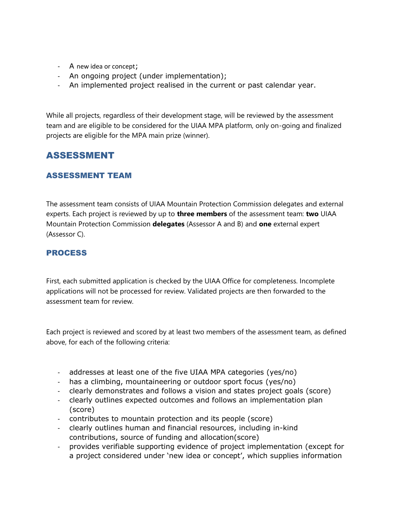- A new idea or concept;
- An ongoing project (under implementation);
- An implemented project realised in the current or past calendar year.

While all projects, regardless of their development stage, will be reviewed by the assessment team and are eligible to be considered for the UIAA MPA platform, only on-going and finalized projects are eligible for the MPA main prize (winner).

## ASSESSMENT

#### ASSESSMENT TEAM

The assessment team consists of UIAA Mountain Protection Commission delegates and external experts. Each project is reviewed by up to **three members** of the assessment team: **two** UIAA Mountain Protection Commission **delegates** (Assessor A and B) and **one** external expert (Assessor C).

#### PROCESS

First, each submitted application is checked by the UIAA Office for completeness. Incomplete applications will not be processed for review. Validated projects are then forwarded to the assessment team for review.

Each project is reviewed and scored by at least two members of the assessment team, as defined above, for each of the following criteria:

- addresses at least one of the five UIAA MPA categories (yes/no)
- has a climbing, mountaineering or outdoor sport focus (yes/no)
- clearly demonstrates and follows a vision and states project goals (score)
- clearly outlines expected outcomes and follows an implementation plan (score)
- contributes to mountain protection and its people (score)
- clearly outlines human and financial resources, including in-kind contributions, source of funding and allocation(score)
- provides verifiable supporting evidence of project implementation (except for a project considered under 'new idea or concept', which supplies information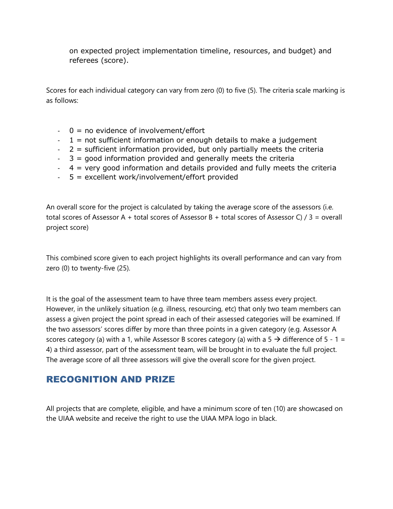on expected project implementation timeline, resources, and budget) and referees (score).

Scores for each individual category can vary from zero (0) to five (5). The criteria scale marking is as follows:

- $-$  0 = no evidence of involvement/effort
- $-1$  = not sufficient information or enough details to make a judgement
- $-2$  = sufficient information provided, but only partially meets the criteria
- 3 = good information provided and generally meets the criteria
- 4 = very good information and details provided and fully meets the criteria
- 5 = excellent work/involvement/effort provided

An overall score for the project is calculated by taking the average score of the assessors (i.e. total scores of Assessor A + total scores of Assessor B + total scores of Assessor C) / 3 = overall project score)

This combined score given to each project highlights its overall performance and can vary from zero (0) to twenty-five (25).

It is the goal of the assessment team to have three team members assess every project. However, in the unlikely situation (e.g. illness, resourcing, etc) that only two team members can assess a given project the point spread in each of their assessed categories will be examined. If the two assessors' scores differ by more than three points in a given category (e.g. Assessor A scores category (a) with a 1, while Assessor B scores category (a) with a 5  $\rightarrow$  difference of 5 - 1 = 4) a third assessor, part of the assessment team, will be brought in to evaluate the full project. The average score of all three assessors will give the overall score for the given project.

## RECOGNITION AND PRIZE

All projects that are complete, eligible, and have a minimum score of ten (10) are showcased on the UIAA website and receive the right to use the UIAA MPA logo in black.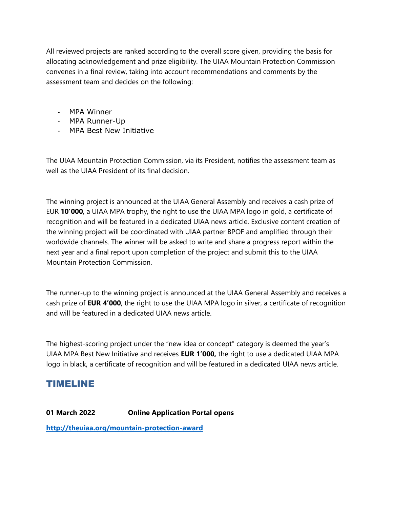All reviewed projects are ranked according to the overall score given, providing the basis for allocating acknowledgement and prize eligibility. The UIAA Mountain Protection Commission convenes in a final review, taking into account recommendations and comments by the assessment team and decides on the following:

- MPA Winner
- MPA Runner-Up
- MPA Best New Initiative

The UIAA Mountain Protection Commission, via its President, notifies the assessment team as well as the UIAA President of its final decision.

The winning project is announced at the UIAA General Assembly and receives a cash prize of EUR **10'000**, a UIAA MPA trophy, the right to use the UIAA MPA logo in gold, a certificate of recognition and will be featured in a dedicated UIAA news article. Exclusive content creation of the winning project will be coordinated with UIAA partner BPOF and amplified through their worldwide channels. The winner will be asked to write and share a progress report within the next year and a final report upon completion of the project and submit this to the UIAA Mountain Protection Commission.

The runner-up to the winning project is announced at the UIAA General Assembly and receives a cash prize of **EUR 4'000**, the right to use the UIAA MPA logo in silver, a certificate of recognition and will be featured in a dedicated UIAA news article.

The highest-scoring project under the "new idea or concept" category is deemed the year's UIAA MPA Best New Initiative and receives **EUR 1'000,** the right to use a dedicated UIAA MPA logo in black, a certificate of recognition and will be featured in a dedicated UIAA news article.

### TIMELINE

**01 March 2022 Online Application Portal opens**

**<http://theuiaa.org/mountain-protection-award>**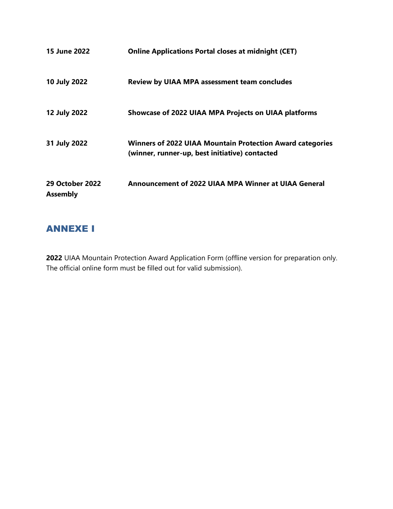| <b>15 June 2022</b>                       | <b>Online Applications Portal closes at midnight (CET)</b>                                                         |
|-------------------------------------------|--------------------------------------------------------------------------------------------------------------------|
| 10 July 2022                              | <b>Review by UIAA MPA assessment team concludes</b>                                                                |
| 12 July 2022                              | <b>Showcase of 2022 UIAA MPA Projects on UIAA platforms</b>                                                        |
| 31 July 2022                              | <b>Winners of 2022 UIAA Mountain Protection Award categories</b><br>(winner, runner-up, best initiative) contacted |
| <b>29 October 2022</b><br><b>Assembly</b> | Announcement of 2022 UIAA MPA Winner at UIAA General                                                               |

# ANNEXE I

**2022** UIAA Mountain Protection Award Application Form (offline version for preparation only. The official online form must be filled out for valid submission).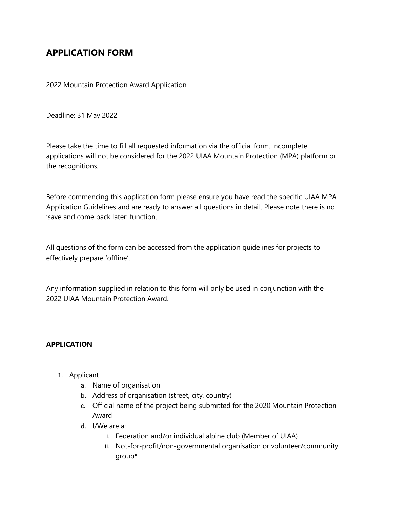## **APPLICATION FORM**

2022 Mountain Protection Award Application

Deadline: 31 May 2022

Please take the time to fill all requested information via the official form. Incomplete applications will not be considered for the 2022 UIAA Mountain Protection (MPA) platform or the recognitions.

Before commencing this application form please ensure you have read the specific UIAA MPA Application Guidelines and are ready to answer all questions in detail. Please note there is no 'save and come back later' function.

All questions of the form can be accessed from the application guidelines for projects to effectively prepare 'offline'.

Any information supplied in relation to this form will only be used in conjunction with the 2022 UIAA Mountain Protection Award.

#### **APPLICATION**

- 1. Applicant
	- a. Name of organisation
	- b. Address of organisation (street, city, country)
	- c. Official name of the project being submitted for the 2020 Mountain Protection Award
	- d. I/We are a:
		- i. Federation and/or individual alpine club (Member of UIAA)
		- ii. Not-for-profit/non-governmental organisation or volunteer/community group\*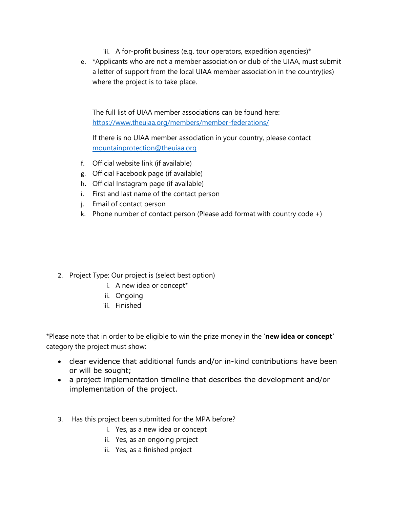- iii. A for-profit business (e.g. tour operators, expedition agencies)\*
- e. \*Applicants who are not a member association or club of the UIAA, must submit a letter of support from the local UIAA member association in the country(ies) where the project is to take place.

The full list of UIAA member associations can be found here: <https://www.theuiaa.org/members/member-federations/>

If there is no UIAA member association in your country, please contact [mountainprotection@theuiaa.org](mailto:mountainprotection@theuiaa.org)

- f. Official website link (if available)
- g. Official Facebook page (if available)
- h. Official Instagram page (if available)
- i. First and last name of the contact person
- j. Email of contact person
- k. Phone number of contact person (Please add format with country code  $+)$

- 2. Project Type: Our project is (select best option)
	- i. A new idea or concept\*
	- ii. Ongoing
	- iii. Finished

\*Please note that in order to be eligible to win the prize money in the '**new idea or concept'** category the project must show:

- clear evidence that additional funds and/or in-kind contributions have been or will be sought;
- a project implementation timeline that describes the development and/or implementation of the project.
- 3. Has this project been submitted for the MPA before?
	- i. Yes, as a new idea or concept
	- ii. Yes, as an ongoing project
	- iii. Yes, as a finished project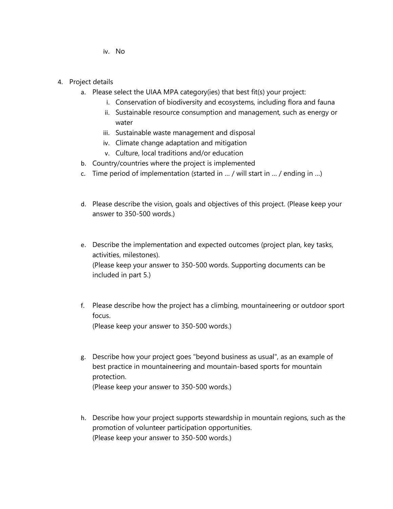iv. No

- 4. Project details
	- a. Please select the UIAA MPA category(ies) that best fit(s) your project:
		- i. Conservation of biodiversity and ecosystems, including flora and fauna
		- ii. Sustainable resource consumption and management, such as energy or water
		- iii. Sustainable waste management and disposal
		- iv. Climate change adaptation and mitigation
		- v. Culture, local traditions and/or education
	- b. Country/countries where the project is implemented
	- c. Time period of implementation (started in … / will start in … / ending in …)
	- d. Please describe the vision, goals and objectives of this project. (Please keep your answer to 350-500 words.)
	- e. Describe the implementation and expected outcomes (project plan, key tasks, activities, milestones). (Please keep your answer to 350-500 words. Supporting documents can be included in part 5.)
	- f. Please describe how the project has a climbing, mountaineering or outdoor sport focus. (Please keep your answer to 350-500 words.)
	- g. Describe how your project goes "beyond business as usual", as an example of best practice in mountaineering and mountain-based sports for mountain protection. (Please keep your answer to 350-500 words.)
	- h. Describe how your project supports stewardship in mountain regions, such as the promotion of volunteer participation opportunities. (Please keep your answer to 350-500 words.)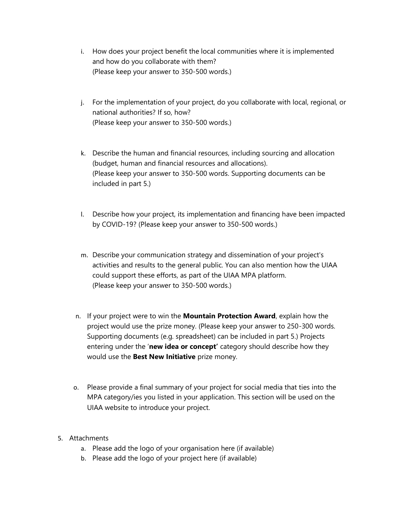- i. How does your project benefit the local communities where it is implemented and how do you collaborate with them? (Please keep your answer to 350-500 words.)
- j. For the implementation of your project, do you collaborate with local, regional, or national authorities? If so, how? (Please keep your answer to 350-500 words.)
- k. Describe the human and financial resources, including sourcing and allocation (budget, human and financial resources and allocations). (Please keep your answer to 350-500 words. Supporting documents can be included in part 5.)
- l. Describe how your project, its implementation and financing have been impacted by COVID-19? (Please keep your answer to 350-500 words.)
- m. Describe your communication strategy and dissemination of your project's activities and results to the general public. You can also mention how the UIAA could support these efforts, as part of the UIAA MPA platform. (Please keep your answer to 350-500 words.)
- n. If your project were to win the **Mountain Protection Award**, explain how the project would use the prize money. (Please keep your answer to 250-300 words. Supporting documents (e.g. spreadsheet) can be included in part 5.) Projects entering under the '**new idea or concept'** category should describe how they would use the **Best New Initiative** prize money.
- o. Please provide a final summary of your project for social media that ties into the MPA category/ies you listed in your application. This section will be used on the UIAA website to introduce your project.
- 5. Attachments
	- a. Please add the logo of your organisation here (if available)
	- b. Please add the logo of your project here (if available)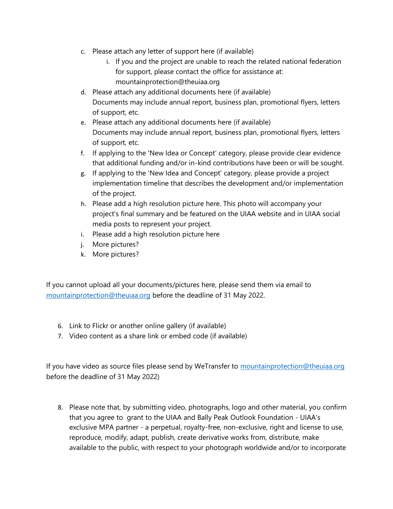- c. Please attach any letter of support here (if available)
	- i. If you and the project are unable to reach the related national federation for support, please contact the office for assistance at: mountainprotection@theuiaa.org
- d. Please attach any additional documents here (if available) Documents may include annual report, business plan, promotional flyers, letters of support, etc.
- e. Please attach any additional documents here (if available) Documents may include annual report, business plan, promotional flyers, letters of support, etc.
- f. If applying to the 'New Idea or Concept' category, please provide clear evidence that additional funding and/or in-kind contributions have been or will be sought.
- g. If applying to the 'New Idea and Concept' category, please provide a project implementation timeline that describes the development and/or implementation of the project.
- h. Please add a high resolution picture here. This photo will accompany your project's final summary and be featured on the UIAA website and in UIAA social media posts to represent your project.
- i. Please add a high resolution picture here
- j. More pictures?
- k. More pictures?

If you cannot upload all your documents/pictures here, please send them via email to [mountainprotection@theuiaa.org](mailto:mountainprotection@theuiaa.org) before the deadline of 31 May 2022.

- 6. Link to Flickr or another online gallery (if available)
- 7. Video content as a share link or embed code (if available)

If you have video as source files please send by WeTransfer to [mountainprotection@theuiaa.org](mailto:mountainprotection@theuiaa.org) before the deadline of 31 May 2022)

8. Please note that, by submitting video, photographs, logo and other material, you confirm that you agree to grant to the UIAA and Bally Peak Outlook Foundation - UIAA's exclusive MPA partner - a perpetual, royalty-free, non-exclusive, right and license to use, reproduce, modify, adapt, publish, create derivative works from, distribute, make available to the public, with respect to your photograph worldwide and/or to incorporate